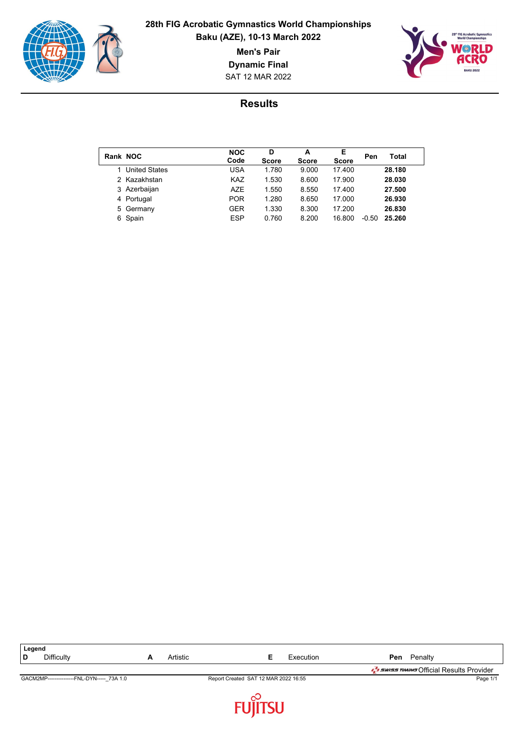

### **28th FIG Acrobatic Gymnastics World Championships Baku (AZE), 10-13 March 2022**

**Men's Pair**

**Dynamic Final**



SAT 12 MAR 2022

| Rank NOC |                      | <b>NOC</b><br>Code | D<br><b>Score</b> | A<br><b>Score</b> | Е<br><b>Score</b> | Pen     | Total  |
|----------|----------------------|--------------------|-------------------|-------------------|-------------------|---------|--------|
|          | <b>United States</b> | USA                | 1.780             | 9.000             | 17.400            |         | 28.180 |
|          | 2 Kazakhstan         | <b>KAZ</b>         | 1.530             | 8.600             | 17.900            |         | 28.030 |
|          | 3 Azerbaijan         | <b>AZE</b>         | 1.550             | 8.550             | 17.400            |         | 27.500 |
|          | 4 Portugal           | <b>POR</b>         | 1.280             | 8.650             | 17.000            |         | 26.930 |
|          | 5 Germany            | GER                | 1.330             | 8.300             | 17.200            |         | 26.830 |
|          | 6 Spain              | <b>ESP</b>         | 0.760             | 8.200             | 16.800            | $-0.50$ | 25.260 |

| Legend                                      |   |          |                                      |           |     |         |                                                 |
|---------------------------------------------|---|----------|--------------------------------------|-----------|-----|---------|-------------------------------------------------|
| <b>Difficulty</b><br>۱D                     | A | Artistic |                                      | Execution | Pen | Penalty |                                                 |
|                                             |   |          |                                      |           |     |         | <b>J</b> swiss TIMING Official Results Provider |
| GACM2MP----------------FNL-DYN----- 73A 1.0 |   |          | Report Created SAT 12 MAR 2022 16:55 |           |     |         | Page 1/1                                        |
|                                             |   |          |                                      |           |     |         |                                                 |

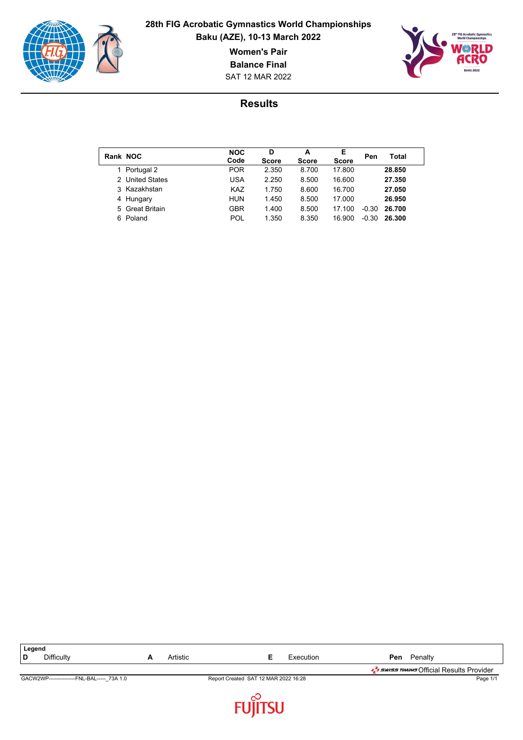

 $\overline{\phantom{a}}$ 

### **28th FIG Acrobatic Gymnastics World Championships Baku (AZE), 10-13 March 2022**

**Women's Pair**

**Balance Final**

SAT 12 MAR 2022



| Rank NOC |                 | <b>NOC</b><br>Code | D<br><b>Score</b> | А<br><b>Score</b> | Е<br><b>Score</b> | Pen     | Total  |
|----------|-----------------|--------------------|-------------------|-------------------|-------------------|---------|--------|
|          | Portugal 2      | <b>POR</b>         | 2.350             | 8.700             | 17.800            |         | 28,850 |
|          | 2 United States | <b>USA</b>         | 2.250             | 8.500             | 16.600            |         | 27.350 |
|          | 3 Kazakhstan    | <b>KAZ</b>         | 1.750             | 8.600             | 16.700            |         | 27.050 |
|          | 4 Hungary       | <b>HUN</b>         | 1.450             | 8.500             | 17.000            |         | 26.950 |
|          | 5 Great Britain | GBR                | 1.400             | 8.500             | 17.100            | $-0.30$ | 26.700 |
| հ․       | Poland          | POL                | 1.350             | 8.350             | 16.900            | $-0.30$ | 26.300 |

| Legend                                     |          |                                      |           |     |         |                                                 |
|--------------------------------------------|----------|--------------------------------------|-----------|-----|---------|-------------------------------------------------|
| <b>Difficulty</b><br>D                     | Artistic |                                      | Execution | Pen | Penalty |                                                 |
|                                            |          |                                      |           |     |         | <b>J</b> swiss TIMING Official Results Provider |
| GACW2WP---------------FNL-BAL----- 73A 1.0 |          | Report Created SAT 12 MAR 2022 16:28 |           |     |         | Page 1/1                                        |
|                                            |          |                                      |           |     |         |                                                 |

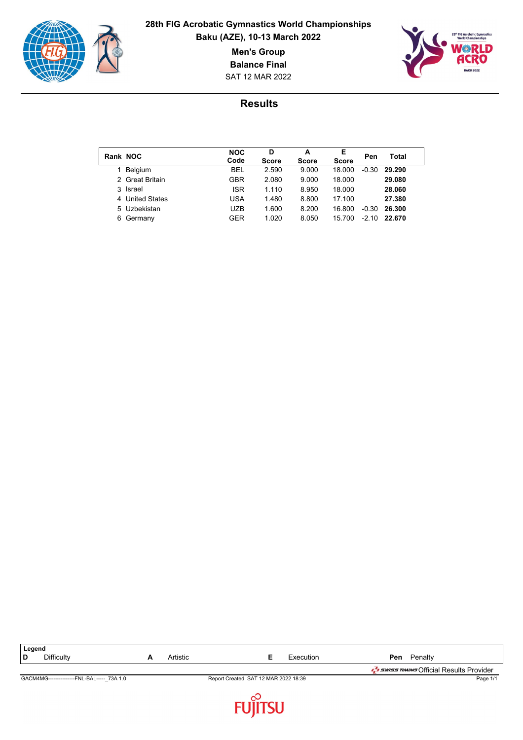

 $\overline{\phantom{a}}$ 

### **28th FIG Acrobatic Gymnastics World Championships Baku (AZE), 10-13 March 2022**

**Men's Group**

**Balance Final**

SAT 12 MAR 2022



| Rank NOC |                 | <b>NOC</b><br>Code | D<br><b>Score</b> | A<br><b>Score</b> | Е<br><b>Score</b> | Pen     | Total  |
|----------|-----------------|--------------------|-------------------|-------------------|-------------------|---------|--------|
|          | Belgium         | <b>BEL</b>         | 2.590             | 9.000             | 18.000            | $-0.30$ | 29.290 |
|          | 2 Great Britain | GBR                | 2.080             | 9.000             | 18.000            |         | 29,080 |
|          | 3 Israel        | <b>ISR</b>         | 1.110             | 8.950             | 18.000            |         | 28.060 |
|          | 4 United States | <b>USA</b>         | 1.480             | 8.800             | 17.100            |         | 27.380 |
|          | 5 Uzbekistan    | <b>UZB</b>         | 1.600             | 8.200             | 16.800            | $-0.30$ | 26.300 |
| 6        | Germany         | GER                | 1.020             | 8.050             | 15.700            | $-2.10$ | 22.670 |

| Legend                                      |   |          |                                      |           |     |         |                                                             |
|---------------------------------------------|---|----------|--------------------------------------|-----------|-----|---------|-------------------------------------------------------------|
| Difficulty<br>D                             | A | Artistic |                                      | Execution | Pen | Penalty |                                                             |
|                                             |   |          |                                      |           |     |         | באשר <i>ב<sup>ד</sup>י באומד (</i> fficial Results Provider |
| GACM4MG----------------FNL-BAL----- 73A 1.0 |   |          | Report Created SAT 12 MAR 2022 18:39 |           |     |         | Page 1/1                                                    |
|                                             |   |          |                                      |           |     |         |                                                             |

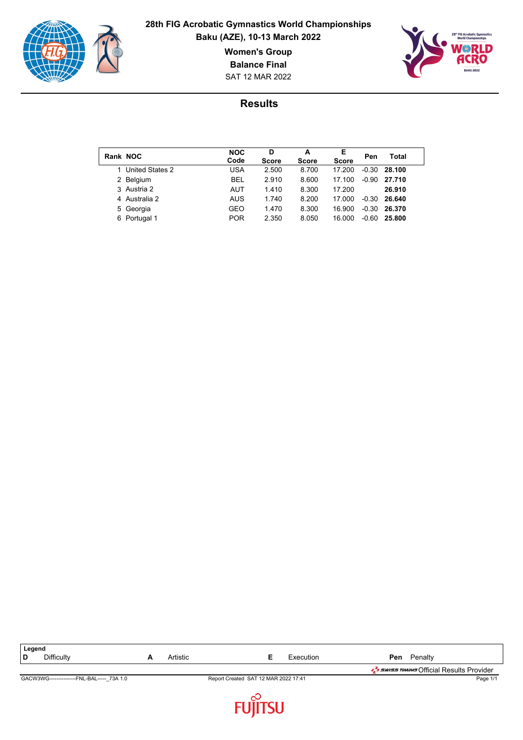

### **28th FIG Acrobatic Gymnastics World Championships Baku (AZE), 10-13 March 2022**

**Women's Group**

**Balance Final**

SAT 12 MAR 2022



| Rank NOC        | <b>NOC</b><br>Code | D<br><b>Score</b> | А<br><b>Score</b> | Е<br><b>Score</b> | Pen     | Total  |
|-----------------|--------------------|-------------------|-------------------|-------------------|---------|--------|
| United States 2 | USA                | 2.500             | 8.700             | 17.200            | $-0.30$ | 28.100 |
| 2 Belgium       | <b>BEL</b>         | 2.910             | 8.600             | 17.100            | $-0.90$ | 27.710 |
| 3 Austria 2     | AUT                | 1.410             | 8.300             | 17.200            |         | 26.910 |
| 4 Australia 2   | <b>AUS</b>         | 1.740             | 8.200             | 17.000            | $-0.30$ | 26.640 |
| 5 Georgia       | GEO                | 1.470             | 8.300             | 16.900            | $-0.30$ | 26.370 |
| Portugal 1<br>6 | <b>POR</b>         | 2.350             | 8.050             | 16.000            | -0.60   | 25.800 |

| Legend                                     |          |                                      |           |                                                 |
|--------------------------------------------|----------|--------------------------------------|-----------|-------------------------------------------------|
| <b>Difficulty</b>                          | Artistic |                                      | Execution | Penalty<br>Pen                                  |
|                                            |          |                                      |           | <b>T</b> swiss TIMING Official Results Provider |
| GACW3WG---------------FNL-BAL----- 73A 1.0 |          | Report Created SAT 12 MAR 2022 17:41 |           | Page 1/1                                        |
|                                            |          |                                      |           |                                                 |